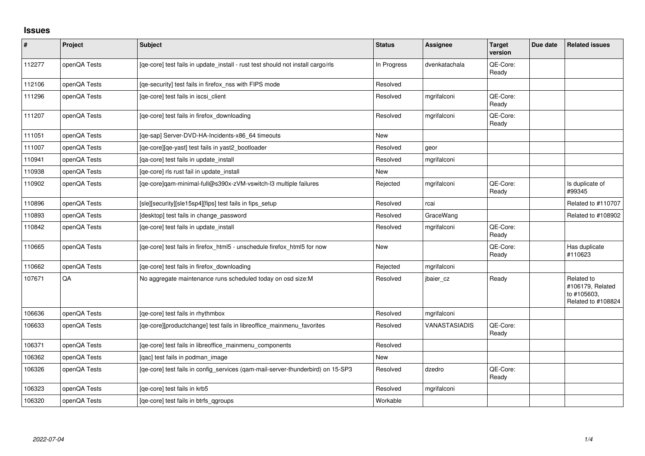## **Issues**

| $\vert$ # | Project      | Subject                                                                         | <b>Status</b> | Assignee      | <b>Target</b><br>version | Due date | <b>Related issues</b>                                               |
|-----------|--------------|---------------------------------------------------------------------------------|---------------|---------------|--------------------------|----------|---------------------------------------------------------------------|
| 112277    | openQA Tests | [qe-core] test fails in update_install - rust test should not install cargo/rls | In Progress   | dvenkatachala | QE-Core:<br>Ready        |          |                                                                     |
| 112106    | openQA Tests | [qe-security] test fails in firefox_nss with FIPS mode                          | Resolved      |               |                          |          |                                                                     |
| 111296    | openQA Tests | [qe-core] test fails in iscsi_client                                            | Resolved      | mgrifalconi   | QE-Core:<br>Ready        |          |                                                                     |
| 111207    | openQA Tests | [ge-core] test fails in firefox downloading                                     | Resolved      | mgrifalconi   | QE-Core:<br>Ready        |          |                                                                     |
| 111051    | openQA Tests | [qe-sap] Server-DVD-HA-Incidents-x86_64 timeouts                                | <b>New</b>    |               |                          |          |                                                                     |
| 111007    | openQA Tests | [qe-core][qe-yast] test fails in yast2_bootloader                               | Resolved      | geor          |                          |          |                                                                     |
| 110941    | openQA Tests | [qa-core] test fails in update_install                                          | Resolved      | mgrifalconi   |                          |          |                                                                     |
| 110938    | openQA Tests | [ge-core] rls rust fail in update install                                       | New           |               |                          |          |                                                                     |
| 110902    | openQA Tests | [qe-core]qam-minimal-full@s390x-zVM-vswitch-l3 multiple failures                | Rejected      | mgrifalconi   | QE-Core:<br>Ready        |          | Is duplicate of<br>#99345                                           |
| 110896    | openQA Tests | [sle][security][sle15sp4][fips] test fails in fips_setup                        | Resolved      | rcai          |                          |          | Related to #110707                                                  |
| 110893    | openQA Tests | [desktop] test fails in change_password                                         | Resolved      | GraceWang     |                          |          | Related to #108902                                                  |
| 110842    | openQA Tests | [qe-core] test fails in update_install                                          | Resolved      | mgrifalconi   | QE-Core:<br>Ready        |          |                                                                     |
| 110665    | openQA Tests | [qe-core] test fails in firefox_html5 - unschedule firefox_html5 for now        | <b>New</b>    |               | QE-Core:<br>Ready        |          | Has duplicate<br>#110623                                            |
| 110662    | openQA Tests | [ge-core] test fails in firefox downloading                                     | Rejected      | mgrifalconi   |                          |          |                                                                     |
| 107671    | QA           | No aggregate maintenance runs scheduled today on osd size:M                     | Resolved      | jbaier cz     | Ready                    |          | Related to<br>#106179, Related<br>to #105603,<br>Related to #108824 |
| 106636    | openQA Tests | [qe-core] test fails in rhythmbox                                               | Resolved      | mgrifalconi   |                          |          |                                                                     |
| 106633    | openQA Tests | [qe-core][productchange] test fails in libreoffice_mainmenu_favorites           | Resolved      | VANASTASIADIS | QE-Core:<br>Ready        |          |                                                                     |
| 106371    | openQA Tests | [qe-core] test fails in libreoffice_mainmenu_components                         | Resolved      |               |                          |          |                                                                     |
| 106362    | openQA Tests | [qac] test fails in podman_image                                                | New           |               |                          |          |                                                                     |
| 106326    | openQA Tests | [qe-core] test fails in config_services (qam-mail-server-thunderbird) on 15-SP3 | Resolved      | dzedro        | QE-Core:<br>Ready        |          |                                                                     |
| 106323    | openQA Tests | [qe-core] test fails in krb5                                                    | Resolved      | mgrifalconi   |                          |          |                                                                     |
| 106320    | openQA Tests | [ge-core] test fails in btrfs ggroups                                           | Workable      |               |                          |          |                                                                     |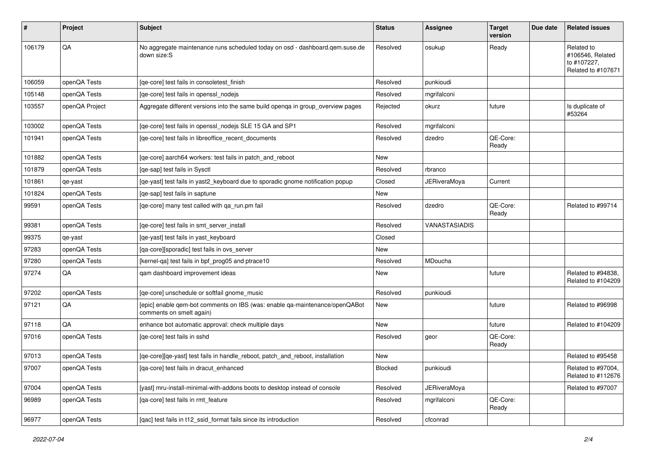| #      | Project        | <b>Subject</b>                                                                                          | <b>Status</b> | Assignee             | <b>Target</b><br>version | Due date | <b>Related issues</b>                                               |
|--------|----------------|---------------------------------------------------------------------------------------------------------|---------------|----------------------|--------------------------|----------|---------------------------------------------------------------------|
| 106179 | QA             | No aggregate maintenance runs scheduled today on osd - dashboard.gem.suse.de<br>down size:S             | Resolved      | osukup               | Ready                    |          | Related to<br>#106546, Related<br>to #107227,<br>Related to #107671 |
| 106059 | openQA Tests   | [ge-core] test fails in consoletest finish                                                              | Resolved      | punkioudi            |                          |          |                                                                     |
| 105148 | openQA Tests   | [ge-core] test fails in openssl nodejs                                                                  | Resolved      | mgrifalconi          |                          |          |                                                                     |
| 103557 | openQA Project | Aggregate different versions into the same build openga in group_overview pages                         | Rejected      | okurz                | future                   |          | Is duplicate of<br>#53264                                           |
| 103002 | openQA Tests   | [qe-core] test fails in openssl_nodejs SLE 15 GA and SP1                                                | Resolved      | mgrifalconi          |                          |          |                                                                     |
| 101941 | openQA Tests   | [qe-core] test fails in libreoffice_recent_documents                                                    | Resolved      | dzedro               | QE-Core:<br>Ready        |          |                                                                     |
| 101882 | openQA Tests   | [qe-core] aarch64 workers: test fails in patch_and_reboot                                               | New           |                      |                          |          |                                                                     |
| 101879 | openQA Tests   | [ge-sap] test fails in Sysctl                                                                           | Resolved      | rbranco              |                          |          |                                                                     |
| 101861 | qe-yast        | [qe-yast] test fails in yast2_keyboard due to sporadic gnome notification popup                         | Closed        | <b>JERiveraMoya</b>  | Current                  |          |                                                                     |
| 101824 | openQA Tests   | [qe-sap] test fails in saptune                                                                          | <b>New</b>    |                      |                          |          |                                                                     |
| 99591  | openQA Tests   | [qe-core] many test called with qa_run.pm fail                                                          | Resolved      | dzedro               | QE-Core:<br>Ready        |          | Related to #99714                                                   |
| 99381  | openQA Tests   | [ge-core] test fails in smt server install                                                              | Resolved      | <b>VANASTASIADIS</b> |                          |          |                                                                     |
| 99375  | qe-yast        | [qe-yast] test fails in yast_keyboard                                                                   | Closed        |                      |                          |          |                                                                     |
| 97283  | openQA Tests   | [qa-core][sporadic] test fails in ovs_server                                                            | New           |                      |                          |          |                                                                     |
| 97280  | openQA Tests   | [kernel-qa] test fails in bpf_prog05 and ptrace10                                                       | Resolved      | MDoucha              |                          |          |                                                                     |
| 97274  | QA             | qam dashboard improvement ideas                                                                         | New           |                      | future                   |          | Related to #94838,<br>Related to #104209                            |
| 97202  | openQA Tests   | [qe-core] unschedule or softfail gnome_music                                                            | Resolved      | punkioudi            |                          |          |                                                                     |
| 97121  | QA             | [epic] enable qem-bot comments on IBS (was: enable qa-maintenance/openQABot<br>comments on smelt again) | New           |                      | future                   |          | Related to #96998                                                   |
| 97118  | QA             | enhance bot automatic approval: check multiple days                                                     | New           |                      | future                   |          | Related to #104209                                                  |
| 97016  | openQA Tests   | [ge-core] test fails in sshd                                                                            | Resolved      | geor                 | QE-Core:<br>Ready        |          |                                                                     |
| 97013  | openQA Tests   | [qe-core][qe-yast] test fails in handle_reboot, patch_and_reboot, installation                          | <b>New</b>    |                      |                          |          | Related to #95458                                                   |
| 97007  | openQA Tests   | [qa-core] test fails in dracut_enhanced                                                                 | Blocked       | punkioudi            |                          |          | Related to #97004,<br>Related to #112676                            |
| 97004  | openQA Tests   | [yast] mru-install-minimal-with-addons boots to desktop instead of console                              | Resolved      | <b>JERiveraMoya</b>  |                          |          | Related to #97007                                                   |
| 96989  | openQA Tests   | [qa-core] test fails in rmt_feature                                                                     | Resolved      | mgrifalconi          | QE-Core:<br>Ready        |          |                                                                     |
| 96977  | openQA Tests   | [qac] test fails in t12_ssid_format fails since its introduction                                        | Resolved      | cfconrad             |                          |          |                                                                     |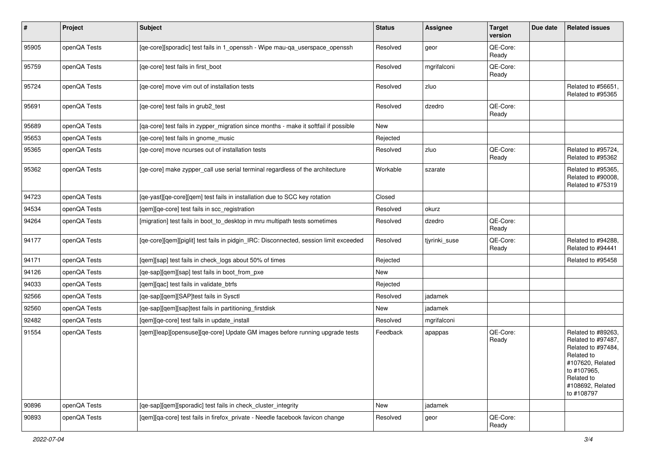| #     | Project      | Subject                                                                               | <b>Status</b> | Assignee      | <b>Target</b><br>version | Due date | <b>Related issues</b>                                                                                                                                           |
|-------|--------------|---------------------------------------------------------------------------------------|---------------|---------------|--------------------------|----------|-----------------------------------------------------------------------------------------------------------------------------------------------------------------|
| 95905 | openQA Tests | [qe-core][sporadic] test fails in 1_openssh - Wipe mau-qa_userspace_openssh           | Resolved      | geor          | QE-Core:<br>Ready        |          |                                                                                                                                                                 |
| 95759 | openQA Tests | [qe-core] test fails in first_boot                                                    | Resolved      | mgrifalconi   | QE-Core:<br>Ready        |          |                                                                                                                                                                 |
| 95724 | openQA Tests | [ge-core] move vim out of installation tests                                          | Resolved      | zluo          |                          |          | Related to #56651,<br>Related to #95365                                                                                                                         |
| 95691 | openQA Tests | [qe-core] test fails in grub2_test                                                    | Resolved      | dzedro        | QE-Core:<br>Ready        |          |                                                                                                                                                                 |
| 95689 | openQA Tests | [qa-core] test fails in zypper_migration since months - make it softfail if possible  | New           |               |                          |          |                                                                                                                                                                 |
| 95653 | openQA Tests | [qe-core] test fails in gnome_music                                                   | Rejected      |               |                          |          |                                                                                                                                                                 |
| 95365 | openQA Tests | [qe-core] move ncurses out of installation tests                                      | Resolved      | zluo          | QE-Core:<br>Ready        |          | Related to #95724,<br>Related to #95362                                                                                                                         |
| 95362 | openQA Tests | [qe-core] make zypper_call use serial terminal regardless of the architecture         | Workable      | szarate       |                          |          | Related to #95365,<br>Related to #90008,<br>Related to #75319                                                                                                   |
| 94723 | openQA Tests | [qe-yast][qe-core][qem] test fails in installation due to SCC key rotation            | Closed        |               |                          |          |                                                                                                                                                                 |
| 94534 | openQA Tests | [qem][qe-core] test fails in scc_registration                                         | Resolved      | okurz         |                          |          |                                                                                                                                                                 |
| 94264 | openQA Tests | [migration] test fails in boot_to_desktop in mru multipath tests sometimes            | Resolved      | dzedro        | QE-Core:<br>Ready        |          |                                                                                                                                                                 |
| 94177 | openQA Tests | [qe-core][qem][piglit] test fails in pidgin_IRC: Disconnected, session limit exceeded | Resolved      | tjyrinki_suse | QE-Core:<br>Ready        |          | Related to #94288.<br>Related to #94441                                                                                                                         |
| 94171 | openQA Tests | [qem][sap] test fails in check_logs about 50% of times                                | Rejected      |               |                          |          | Related to #95458                                                                                                                                               |
| 94126 | openQA Tests | [qe-sap][qem][sap] test fails in boot_from_pxe                                        | New           |               |                          |          |                                                                                                                                                                 |
| 94033 | openQA Tests | [gem][gac] test fails in validate btrfs                                               | Rejected      |               |                          |          |                                                                                                                                                                 |
| 92566 | openQA Tests | [qe-sap][qem][SAP]test fails in Sysctl                                                | Resolved      | jadamek       |                          |          |                                                                                                                                                                 |
| 92560 | openQA Tests | [qe-sap][qem][sap]test fails in partitioning_firstdisk                                | New           | jadamek       |                          |          |                                                                                                                                                                 |
| 92482 | openQA Tests | [gem][ge-core] test fails in update_install                                           | Resolved      | mgrifalconi   |                          |          |                                                                                                                                                                 |
| 91554 | openQA Tests | [gem][leap][opensuse][ge-core] Update GM images before running upgrade tests          | Feedback      | apappas       | QE-Core:<br>Ready        |          | Related to #89263,<br>Related to #97487,<br>Related to #97484,<br>Related to<br>#107620, Related<br>to #107965,<br>Related to<br>#108692, Related<br>to #108797 |
| 90896 | openQA Tests | [qe-sap][qem][sporadic] test fails in check_cluster_integrity                         | New           | jadamek       |                          |          |                                                                                                                                                                 |
| 90893 | openQA Tests | [gem][ga-core] test fails in firefox_private - Needle facebook favicon change         | Resolved      | geor          | QE-Core:<br>Ready        |          |                                                                                                                                                                 |